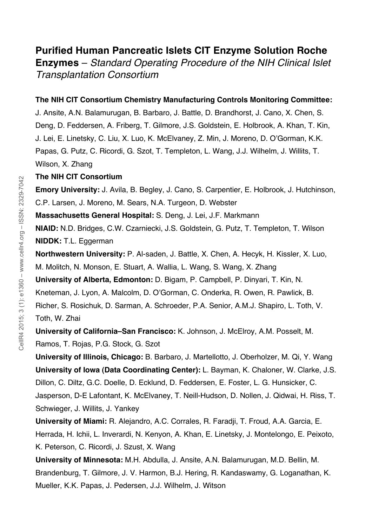# **Purified Human Pancreatic Islets CIT Enzyme Solution Roche**

**Enzymes** – *Standard Operating Procedure of the NIH Clinical Islet Transplantation Consortium*

## **The NIH CIT Consortium Chemistry Manufacturing Controls Monitoring Committee:**

J. Ansite, A.N. Balamurugan, B. Barbaro, J. Battle, D. Brandhorst, J. Cano, X. Chen, S. Deng, D. Feddersen, A. Friberg, T. Gilmore, J.S. Goldstein, E. Holbrook, A. Khan, T. Kin, J. Lei, E. Linetsky, C. Liu, X. Luo, K. McElvaney, Z. Min, J. Moreno, D. O'Gorman, K.K. Papas, G. Putz, C. Ricordi, G. Szot, T. Templeton, L. Wang, J.J. Wilhelm, J. Willits, T. Wilson, X. Zhang

## **The NIH CIT Consortium**

**Emory University:** J. Avila, B. Begley, J. Cano, S. Carpentier, E. Holbrook, J. Hutchinson,

C.P. Larsen, J. Moreno, M. Sears, N.A. Turgeon, D. Webster

**Massachusetts General Hospital:** S. Deng, J. Lei, J.F. Markmann

**NIAID:** N.D. Bridges, C.W. Czarniecki, J.S. Goldstein, G. Putz, T. Templeton, T. Wilson **NIDDK:** T.L. Eggerman

**Northwestern University:** P. Al-saden, J. Battle, X. Chen, A. Hecyk, H. Kissler, X. Luo, M. Molitch, N. Monson, E. Stuart, A. Wallia, L. Wang, S. Wang, X. Zhang

**University of Alberta, Edmonton:** D. Bigam, P. Campbell, P. Dinyari, T. Kin, N.

Kneteman, J. Lyon, A. Malcolm, D. O'Gorman, C. Onderka, R. Owen, R. Pawlick, B.

Richer, S. Rosichuk, D. Sarman, A. Schroeder, P.A. Senior, A.M.J. Shapiro, L. Toth, V. Toth, W. Zhai

**University of California–San Francisco:** K. Johnson, J. McElroy, A.M. Posselt, M. Ramos, T. Rojas, P.G. Stock, G. Szot

**University of Illinois, Chicago:** B. Barbaro, J. Martellotto, J. Oberholzer, M. Qi, Y. Wang **University of Iowa (Data Coordinating Center):** L. Bayman, K. Chaloner, W. Clarke, J.S. Dillon, C. Diltz, G.C. Doelle, D. Ecklund, D. Feddersen, E. Foster, L. G. Hunsicker, C. Jasperson, D-E Lafontant, K. McElvaney, T. Neill-Hudson, D. Nollen, J. Qidwai, H. Riss, T. Schwieger, J. Willits, J. Yankey

**University of Miami:** R. Alejandro, A.C. Corrales, R. Faradji, T. Froud, A.A. Garcia, E. Herrada, H. Ichii, L. Inverardi, N. Kenyon, A. Khan, E. Linetsky, J. Montelongo, E. Peixoto, K. Peterson, C. Ricordi, J. Szust, X. Wang

**University of Minnesota:** M.H. Abdulla, J. Ansite, A.N. Balamurugan, M.D. Bellin, M. Brandenburg, T. Gilmore, J. V. Harmon, B.J. Hering, R. Kandaswamy, G. Loganathan, K. Mueller, K.K. Papas, J. Pedersen, J.J. Wilhelm, J. Witson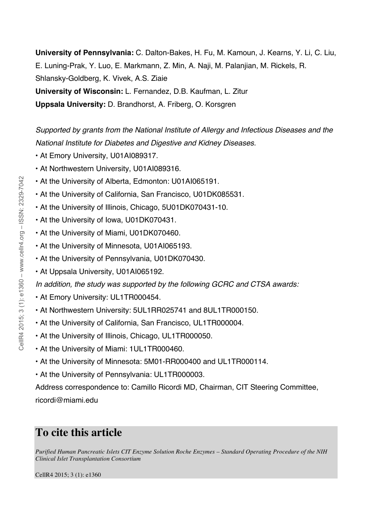**University of Pennsylvania:** C. Dalton-Bakes, H. Fu, M. Kamoun, J. Kearns, Y. Li, C. Liu, E. Luning-Prak, Y. Luo, E. Markmann, Z. Min, A. Naji, M. Palanjian, M. Rickels, R. Shlansky-Goldberg, K. Vivek, A.S. Ziaie **University of Wisconsin:** L. Fernandez, D.B. Kaufman, L. Zitur **Uppsala University:** D. Brandhorst, A. Friberg, O. Korsgren

*Supported by grants from the National Institute of Allergy and Infectious Diseases and the National Institute for Diabetes and Digestive and Kidney Diseases.*

- At Emory University, U01AI089317.
- At Northwestern University, U01AI089316.
- At the University of Alberta, Edmonton: U01AI065191.
- At the University of California, San Francisco, U01DK085531.
- At the University of Illinois, Chicago, 5U01DK070431-10.
- At the University of Iowa, U01DK070431.
- At the University of Miami, U01DK070460.
- At the University of Minnesota, U01AI065193.
- At the University of Pennsylvania, U01DK070430.
- At Uppsala University, U01AI065192.

*In addition, the study was supported by the following GCRC and CTSA awards:*

- At Emory University: UL1TR000454.
- At Northwestern University: 5UL1RR025741 and 8UL1TR000150.
- At the University of California, San Francisco, UL1TR000004.
- At the University of Illinois, Chicago, UL1TR000050.
- At the University of Miami: 1UL1TR000460.
- At the University of Minnesota: 5M01-RR000400 and UL1TR000114.
- At the University of Pennsylvania: UL1TR000003.

Address correspondence to: Camillo Ricordi MD, Chairman, CIT Steering Committee, ricordi@miami.edu

# **To cite this article**

*Purified Human Pancreatic Islets CIT Enzyme Solution Roche Enzymes – Standard Operating Procedure of the NIH Clinical Islet Transplantation Consortium*

CellR4 2015; 3 (1): e1360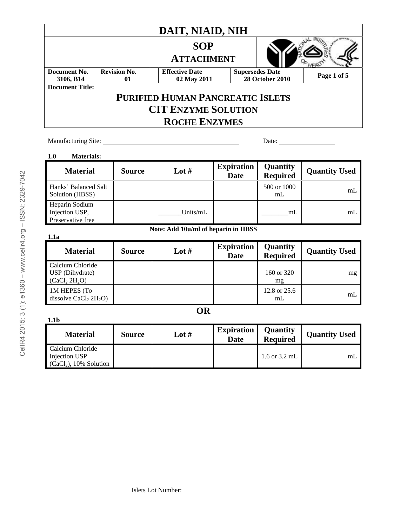|                                                          |                           | DAIT, NIAID, NIH                        |                                  |                             |                            |
|----------------------------------------------------------|---------------------------|-----------------------------------------|----------------------------------|-----------------------------|----------------------------|
|                                                          |                           | <b>SOP</b>                              |                                  |                             |                            |
|                                                          |                           | <b>ATTACHMENT</b>                       |                                  |                             |                            |
| Document No.<br>3106, B14                                | <b>Revision No.</b><br>01 | <b>Effective Date</b><br>02 May 2011    | <b>Supersedes Date</b>           | <b>28 October 2010</b>      | Page 1 of 5                |
| <b>Document Title:</b>                                   |                           |                                         |                                  |                             |                            |
|                                                          |                           | <b>PURIFIED HUMAN PANCREATIC ISLETS</b> |                                  |                             |                            |
|                                                          |                           | <b>CIT ENZYME SOLUTION</b>              |                                  |                             |                            |
|                                                          |                           |                                         |                                  |                             |                            |
|                                                          |                           | <b>ROCHE ENZYMES</b>                    |                                  |                             |                            |
| Manufacturing Site:                                      |                           |                                         |                                  | Date:                       |                            |
|                                                          |                           |                                         |                                  |                             |                            |
| <b>Materials:</b><br>1.0                                 |                           |                                         |                                  |                             |                            |
| <b>Material</b>                                          | <b>Source</b>             | Lot $#$                                 | <b>Expiration</b><br><b>Date</b> | Quantity<br><b>Required</b> | <b>Quantity Used</b>       |
| Hanks' Balanced Salt<br>Solution (HBSS)                  |                           |                                         |                                  | 500 or 1000<br>mL           | mL                         |
|                                                          |                           |                                         |                                  |                             |                            |
| Heparin Sodium                                           |                           |                                         |                                  | mL                          | mL                         |
| Injection USP,<br>Preservative free                      |                           | Units/mL                                |                                  |                             |                            |
|                                                          |                           | Note: Add 10u/ml of heparin in HBSS     |                                  |                             |                            |
| 1.1a                                                     |                           |                                         |                                  |                             |                            |
| <b>Material</b>                                          | <b>Source</b>             | Lot $#$                                 | <b>Expiration</b><br><b>Date</b> | Quantity                    |                            |
| Calcium Chloride                                         |                           |                                         |                                  | <b>Required</b>             |                            |
| USP (Dihydrate)<br>(CaCl <sub>2</sub> 2H <sub>2</sub> O) |                           |                                         |                                  | 160 or 320<br>mg            | <b>Quantity Used</b><br>mg |

# **OR**

| 1.1b                                     |               |       |                                  |                                    |                      |
|------------------------------------------|---------------|-------|----------------------------------|------------------------------------|----------------------|
| <b>Material</b>                          | <b>Source</b> | Lot # | <b>Expiration</b><br><b>Date</b> | <b>Quantity</b><br><b>Required</b> | <b>Quantity Used</b> |
| Calcium Chloride<br><b>Injection USP</b> |               |       |                                  | $1.6$ or $3.2$ mL                  | mL                   |
| $(CaCl2), 10\%$ Solution                 |               |       |                                  |                                    |                      |

CellR4 2015; 3 (1): e1360 - www.cellr4.org - ISSN: 2329-7042

2015; 3 (1): e1360 – www.cellr4.org – ISSN: 2329-7042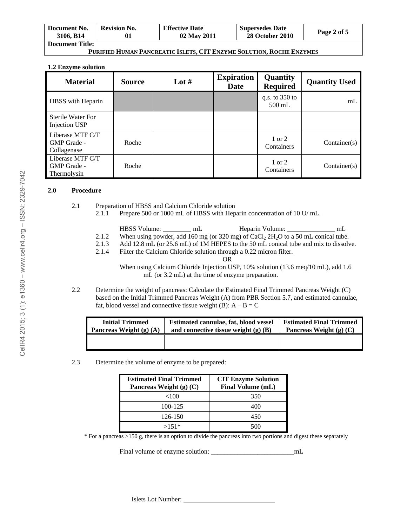| Document No.<br>3106, B14 | <b>Revision No.</b> | <b>Effective Date</b><br>02 May 2011 | <b>Supersedes Date</b><br><b>28 October 2010</b> | Page 2 of 5 |
|---------------------------|---------------------|--------------------------------------|--------------------------------------------------|-------------|
| <b>Document Title:</b>    |                     |                                      |                                                  |             |

### **PURIFIED HUMAN PANCREATIC ISLETS, CIT ENZYME SOLUTION, ROCHE ENZYMES**

#### **1.2 Enzyme solution**

| <b>Material</b>                                | <b>Source</b> | Lot $#$ | <b>Expiration</b><br><b>Date</b> | <b>Quantity</b><br><b>Required</b> | <b>Quantity Used</b> |
|------------------------------------------------|---------------|---------|----------------------------------|------------------------------------|----------------------|
| HBSS with Heparin                              |               |         |                                  | q.s. to $350$ to<br>$500$ mL       | mL                   |
| <b>Sterile Water For</b><br>Injection USP      |               |         |                                  |                                    |                      |
| Liberase MTF C/T<br>GMP Grade -<br>Collagenase | Roche         |         |                                  | 1 or 2<br>Containers               | Container(s)         |
| Liberase MTF C/T<br>GMP Grade -<br>Thermolysin | Roche         |         |                                  | 1 or 2<br>Containers               | Container(s)         |

#### **2.0 Procedure**

- 2.1 Preparation of HBSS and Calcium Chloride solution
	- 2.1.1 Prepare 500 or 1000 mL of HBSS with Heparin concentration of 10 U/ mL.
		- HBSS Volume: \_\_\_\_\_\_\_\_\_ mL Heparin Volume: \_\_\_\_\_\_\_\_\_\_\_\_ mL
	- 2.1.2 When using powder, add 160 mg (or 320 mg) of  $CaCl<sub>2</sub> 2H<sub>2</sub>O$  to a 50 mL conical tube.
	- 2.1.3 Add 12.8 mL (or 25.6 mL) of 1M HEPES to the 50 mL conical tube and mix to dissolve.
	- 2.1.4 Filter the Calcium Chloride solution through a 0.22 micron filter.

OR When using Calcium Chloride Injection USP, 10% solution (13.6 meq/10 mL), add 1.6 mL (or 3.2 mL) at the time of enzyme preparation.

2.2 Determine the weight of pancreas: Calculate the Estimated Final Trimmed Pancreas Weight (C) based on the Initial Trimmed Pancreas Weight (A) from PBR Section 5.7, and estimated cannulae, fat, blood vessel and connective tissue weight (B):  $A - B = C$ 

| <b>Initial Trimmed</b>    | Estimated cannulae, fat, blood vessel  | <b>Estimated Final Trimmed</b> |
|---------------------------|----------------------------------------|--------------------------------|
| Pancreas Weight (g) $(A)$ | and connective tissue weight $(g)$ (B) | Pancreas Weight (g) $(C)$      |
|                           |                                        |                                |

2.3 Determine the volume of enzyme to be prepared:

| <b>Estimated Final Trimmed</b><br>Pancreas Weight $(g)$ $(C)$ | <b>CIT Enzyme Solution</b><br><b>Final Volume (mL)</b> |
|---------------------------------------------------------------|--------------------------------------------------------|
| ${<}100$                                                      | 350                                                    |
| 100-125                                                       | 400                                                    |
| 126-150                                                       | 450                                                    |
| $>151*$                                                       |                                                        |

\* For a pancreas >150 g, there is an option to divide the pancreas into two portions and digest these separately

Final volume of enzyme solution:  $mL$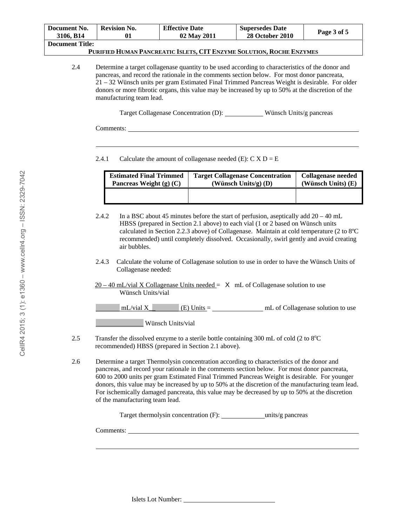| Document No.           | <b>Revision No.</b> | <b>Effective Date</b> | <b>Supersedes Date</b> | Page 3 of 5 |
|------------------------|---------------------|-----------------------|------------------------|-------------|
| 3106, B14              |                     | 02 May 2011           | <b>28 October 2010</b> |             |
| <b>Document Title:</b> |                     |                       |                        |             |

### **PURIFIED HUMAN PANCREATIC ISLETS, CIT ENZYME SOLUTION, ROCHE ENZYMES**

2.4 Determine a target collagenase quantity to be used according to characteristics of the donor and pancreas, and record the rationale in the comments section below. For most donor pancreata, 21 – 32 Wünsch units per gram Estimated Final Trimmed Pancreas Weight is desirable. For older donors or more fibrotic organs, this value may be increased by up to 50% at the discretion of the manufacturing team lead.

Target Collagenase Concentration (D): Wünsch Units/g pancreas

Comments:

 $\overline{a}$ 

2.4.1 Calculate the amount of collagenase needed (E):  $\overline{C} \times D = E$ 

| <b>Estimated Final Trimmed</b> | <b>Target Collagenase Concentration</b> | Collagenase needed |
|--------------------------------|-----------------------------------------|--------------------|
| Pancreas Weight $(g)$ $(C)$    | (Wünsch Units/g) $(D)$                  | (Wünsch Units) (E) |
|                                |                                         |                    |

2.4.2 In a BSC about 45 minutes before the start of perfusion, aseptically add  $20 - 40$  mL HBSS (prepared in Section 2.1 above) to each vial (1 or 2 based on Wünsch units calculated in Section 2.2.3 above) of Collagenase. Maintain at cold temperature (2 to 8ºC recommended) until completely dissolved. Occasionally, swirl gently and avoid creating air bubbles.

- 2.4.3 Calculate the volume of Collagenase solution to use in order to have the Wünsch Units of Collagenase needed:
- $20 40$  mL/vial X Collagenase Units needed =  $\chi$  mL of Collagenase solution to use Wünsch Units/vial

| mL/vial X | $(E)$ Units = | mL of Collagenase solution to use |
|-----------|---------------|-----------------------------------|
|           |               |                                   |

Wünsch Units/vial

- 2.5 Transfer the dissolved enzyme to a sterile bottle containing  $300 \text{ mL of cold}$  (2 to  $8^{\circ}\text{C}$ ) recommended) HBSS (prepared in Section 2.1 above).
- 2.6 Determine a target Thermolysin concentration according to characteristics of the donor and pancreas, and record your rationale in the comments section below. For most donor pancreata, 600 to 2000 units per gram Estimated Final Trimmed Pancreas Weight is desirable. For younger donors, this value may be increased by up to 50% at the discretion of the manufacturing team lead. For ischemically damaged pancreata, this value may be decreased by up to 50% at the discretion of the manufacturing team lead.

| Target thermolysin concentration (F): | units/g pancreas |
|---------------------------------------|------------------|
|---------------------------------------|------------------|

Comments:

 $\overline{a}$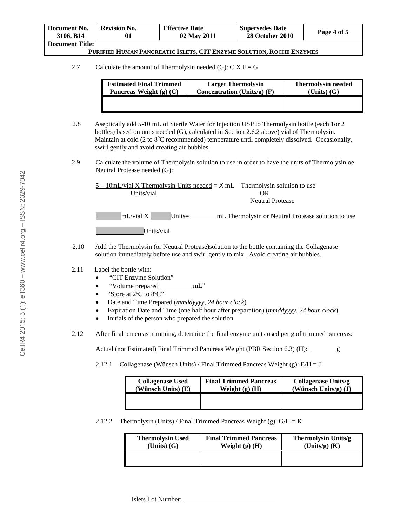| Document No.    | <b>Revision No.</b> | <b>Effective Date</b> | <b>Supersedes Date</b> | Page 4 of 5 |
|-----------------|---------------------|-----------------------|------------------------|-------------|
| 3106, B14       |                     | 02 May 2011           | <b>28 October 2010</b> |             |
| Document Title: |                     |                       |                        |             |

### **PURIFIED HUMAN PANCREATIC ISLETS, CIT ENZYME SOLUTION, ROCHE ENZYMES**

2.7 Calculate the amount of Thermolysin needed (G):  $C X F = G$ 

| <b>Estimated Final Trimmed</b> | <b>Target Thermolysin</b>     | <b>Thermolysin needed</b> |
|--------------------------------|-------------------------------|---------------------------|
| Pancreas Weight $(g)$ $(C)$    | Concentration (Units/g) $(F)$ | $(Units)$ $(G)$           |
|                                |                               |                           |

- 2.8 Aseptically add 5-10 mL of Sterile Water for Injection USP to Thermolysin bottle (each 1or 2 bottles) based on units needed (G), calculated in Section 2.6.2 above) vial of Thermolysin. Maintain at cold (2 to 8°C recommended) temperature until completely dissolved. Occasionally, swirl gently and avoid creating air bubbles.
- 2.9 Calculate the volume of Thermolysin solution to use in order to have the units of Thermolysin oe Neutral Protease needed (G):

| $5 - 10$ mL/vial X Thermolysin Units needed = $X$ mL Thermolysin solution to use |                                                    |
|----------------------------------------------------------------------------------|----------------------------------------------------|
| Units/vial                                                                       | OR                                                 |
|                                                                                  | Neutral Protease                                   |
| mL/vial X<br>$Units =$                                                           | mL Thermolysin or Neutral Protease solution to use |

Units/vial

2.10 Add the Thermolysin (or Neutral Protease)solution to the bottle containing the Collagenase solution immediately before use and swirl gently to mix. Avoid creating air bubbles.

#### 2.11 Label the bottle with:

- "CIT Enzyme Solution"
- "Volume prepared \_\_\_\_\_\_\_\_\_ mL"
- "Store at 2°C to 8°C"
- Date and Time Prepared (*mmddyyyy, 24 hour clock*)
- Expiration Date and Time (one half hour after preparation) (*mmddyyyy, 24 hour clock*)
- Initials of the person who prepared the solution
- 2.12 After final pancreas trimming, determine the final enzyme units used per g of trimmed pancreas:

Actual (not Estimated) Final Trimmed Pancreas Weight (PBR Section 6.3) (H): g

2.12.1 Collagenase (Wünsch Units) / Final Trimmed Pancreas Weight (g):  $E/H = J$ 

| <b>Collagenase Used</b> | <b>Final Trimmed Pancreas</b> | Collagenase Units/g  |  |
|-------------------------|-------------------------------|----------------------|--|
| (Wünsch Units) (E)      | Weight $(g)$ $(H)$            | (Wünsch Units/g) (J) |  |
|                         |                               |                      |  |

2.12.2 Thermolysin (Units) / Final Trimmed Pancreas Weight (g):  $G/H = K$ 

| <b>Thermolysin Used</b> | <b>Final Trimmed Pancreas</b> | Thermolysin Units/g |  |
|-------------------------|-------------------------------|---------------------|--|
| $(Units)$ $(G)$         | Weight $(g)$ $(H)$            | $(Units/g)$ $(K)$   |  |
|                         |                               |                     |  |